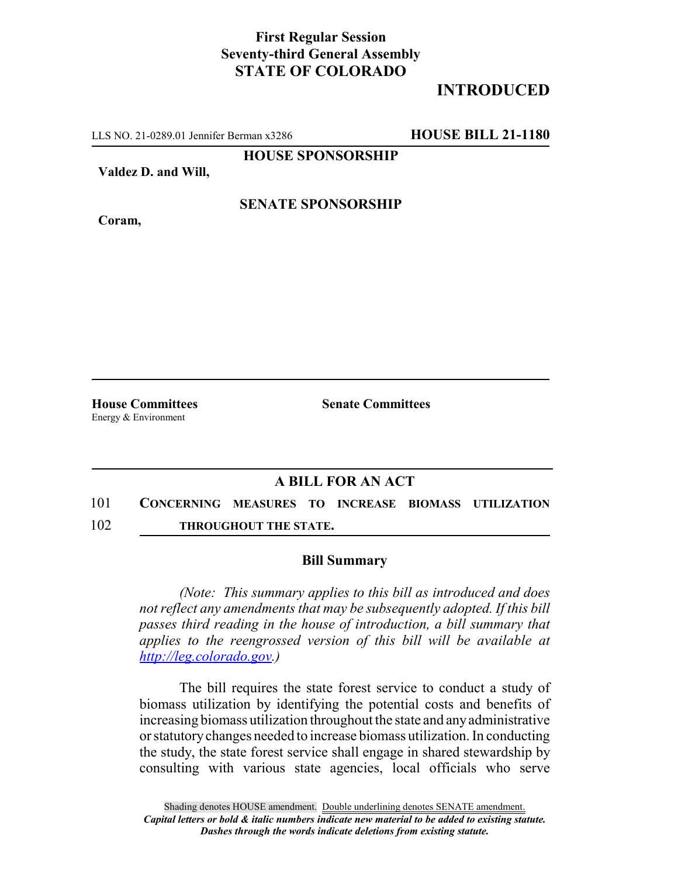## **First Regular Session Seventy-third General Assembly STATE OF COLORADO**

# **INTRODUCED**

LLS NO. 21-0289.01 Jennifer Berman x3286 **HOUSE BILL 21-1180**

**HOUSE SPONSORSHIP**

**Valdez D. and Will,**

### **SENATE SPONSORSHIP**

**Coram,**

Energy & Environment

**House Committees Senate Committees**

## **A BILL FOR AN ACT**

101 **CONCERNING MEASURES TO INCREASE BIOMASS UTILIZATION** 102 **THROUGHOUT THE STATE.**

#### **Bill Summary**

*(Note: This summary applies to this bill as introduced and does not reflect any amendments that may be subsequently adopted. If this bill passes third reading in the house of introduction, a bill summary that applies to the reengrossed version of this bill will be available at http://leg.colorado.gov.)*

The bill requires the state forest service to conduct a study of biomass utilization by identifying the potential costs and benefits of increasing biomass utilization throughout the state and any administrative or statutory changes needed to increase biomass utilization. In conducting the study, the state forest service shall engage in shared stewardship by consulting with various state agencies, local officials who serve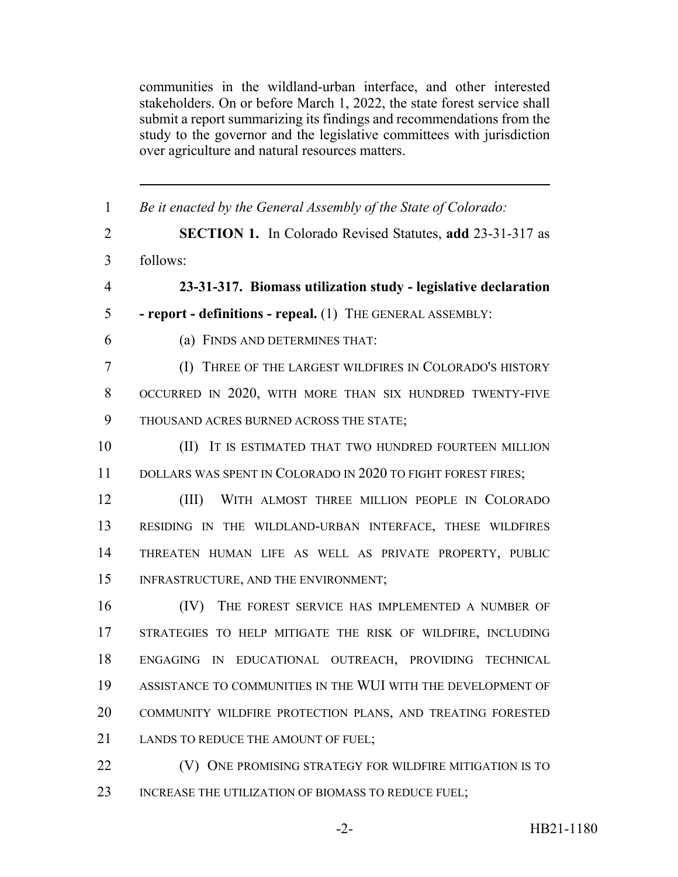communities in the wildland-urban interface, and other interested stakeholders. On or before March 1, 2022, the state forest service shall submit a report summarizing its findings and recommendations from the study to the governor and the legislative committees with jurisdiction over agriculture and natural resources matters.

 *Be it enacted by the General Assembly of the State of Colorado:* **SECTION 1.** In Colorado Revised Statutes, **add** 23-31-317 as follows: **23-31-317. Biomass utilization study - legislative declaration - report - definitions - repeal.** (1) THE GENERAL ASSEMBLY: (a) FINDS AND DETERMINES THAT: (I) THREE OF THE LARGEST WILDFIRES IN COLORADO'S HISTORY OCCURRED IN 2020, WITH MORE THAN SIX HUNDRED TWENTY-FIVE THOUSAND ACRES BURNED ACROSS THE STATE; **(II)** IT IS ESTIMATED THAT TWO HUNDRED FOURTEEN MILLION 11 DOLLARS WAS SPENT IN COLORADO IN 2020 TO FIGHT FOREST FIRES; (III) WITH ALMOST THREE MILLION PEOPLE IN COLORADO RESIDING IN THE WILDLAND-URBAN INTERFACE, THESE WILDFIRES THREATEN HUMAN LIFE AS WELL AS PRIVATE PROPERTY, PUBLIC INFRASTRUCTURE, AND THE ENVIRONMENT; (IV) THE FOREST SERVICE HAS IMPLEMENTED A NUMBER OF STRATEGIES TO HELP MITIGATE THE RISK OF WILDFIRE, INCLUDING ENGAGING IN EDUCATIONAL OUTREACH, PROVIDING TECHNICAL ASSISTANCE TO COMMUNITIES IN THE WUI WITH THE DEVELOPMENT OF COMMUNITY WILDFIRE PROTECTION PLANS, AND TREATING FORESTED 21 LANDS TO REDUCE THE AMOUNT OF FUEL: **(V) ONE PROMISING STRATEGY FOR WILDFIRE MITIGATION IS TO** 

23 INCREASE THE UTILIZATION OF BIOMASS TO REDUCE FUEL;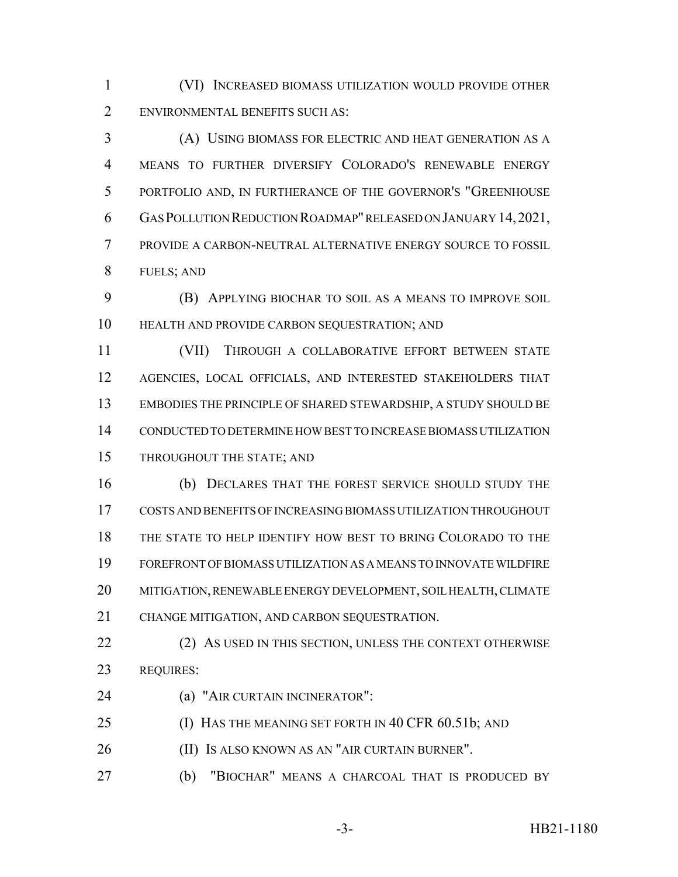(VI) INCREASED BIOMASS UTILIZATION WOULD PROVIDE OTHER ENVIRONMENTAL BENEFITS SUCH AS:

 (A) USING BIOMASS FOR ELECTRIC AND HEAT GENERATION AS A MEANS TO FURTHER DIVERSIFY COLORADO'S RENEWABLE ENERGY PORTFOLIO AND, IN FURTHERANCE OF THE GOVERNOR'S "GREENHOUSE GAS POLLUTION REDUCTION ROADMAP" RELEASED ON JANUARY 14,2021, PROVIDE A CARBON-NEUTRAL ALTERNATIVE ENERGY SOURCE TO FOSSIL FUELS; AND

 (B) APPLYING BIOCHAR TO SOIL AS A MEANS TO IMPROVE SOIL HEALTH AND PROVIDE CARBON SEQUESTRATION; AND

 (VII) THROUGH A COLLABORATIVE EFFORT BETWEEN STATE AGENCIES, LOCAL OFFICIALS, AND INTERESTED STAKEHOLDERS THAT EMBODIES THE PRINCIPLE OF SHARED STEWARDSHIP, A STUDY SHOULD BE CONDUCTED TO DETERMINE HOW BEST TO INCREASE BIOMASS UTILIZATION THROUGHOUT THE STATE; AND

 (b) DECLARES THAT THE FOREST SERVICE SHOULD STUDY THE COSTS AND BENEFITS OF INCREASING BIOMASS UTILIZATION THROUGHOUT THE STATE TO HELP IDENTIFY HOW BEST TO BRING COLORADO TO THE FOREFRONT OF BIOMASS UTILIZATION AS A MEANS TO INNOVATE WILDFIRE MITIGATION, RENEWABLE ENERGY DEVELOPMENT, SOIL HEALTH, CLIMATE CHANGE MITIGATION, AND CARBON SEQUESTRATION.

22 (2) AS USED IN THIS SECTION, UNLESS THE CONTEXT OTHERWISE REQUIRES:

- (a) "AIR CURTAIN INCINERATOR":
- 25 (I) HAS THE MEANING SET FORTH IN 40 CFR 60.51b; AND
- 26 (II) Is also known as an "AIR CURTAIN BURNER".
- (b) "BIOCHAR" MEANS A CHARCOAL THAT IS PRODUCED BY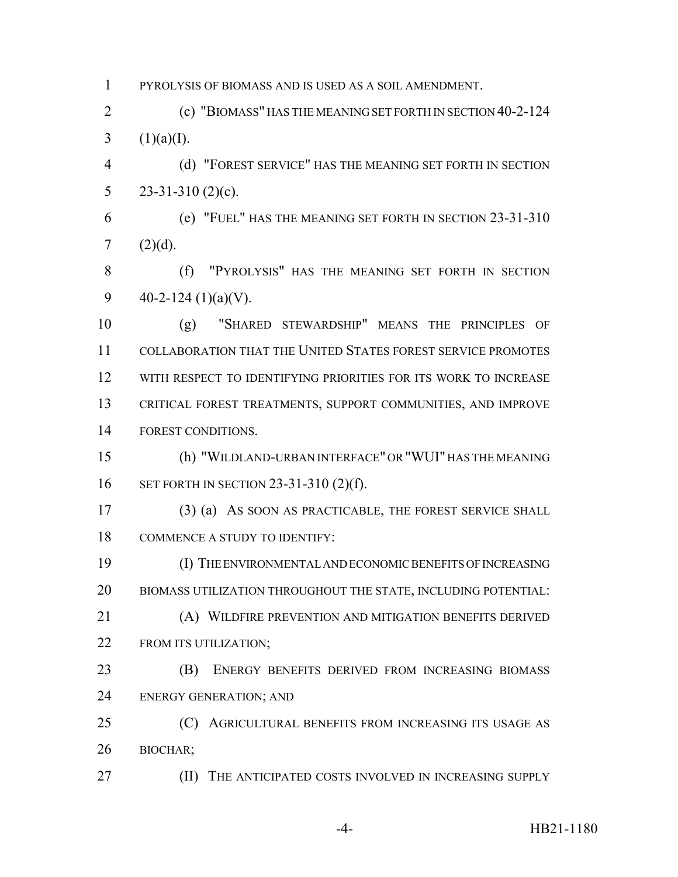PYROLYSIS OF BIOMASS AND IS USED AS A SOIL AMENDMENT.

 (c) "BIOMASS" HAS THE MEANING SET FORTH IN SECTION 40-2-124 3  $(1)(a)(I)$ .

 (d) "FOREST SERVICE" HAS THE MEANING SET FORTH IN SECTION 5 23-31-310 (2)(c).

 (e) "FUEL" HAS THE MEANING SET FORTH IN SECTION 23-31-310 (2)(d).

 (f) "PYROLYSIS" HAS THE MEANING SET FORTH IN SECTION 9  $40-2-124$  (1)(a)(V).

 (g) "SHARED STEWARDSHIP" MEANS THE PRINCIPLES OF COLLABORATION THAT THE UNITED STATES FOREST SERVICE PROMOTES WITH RESPECT TO IDENTIFYING PRIORITIES FOR ITS WORK TO INCREASE CRITICAL FOREST TREATMENTS, SUPPORT COMMUNITIES, AND IMPROVE FOREST CONDITIONS.

 (h) "WILDLAND-URBAN INTERFACE" OR "WUI" HAS THE MEANING SET FORTH IN SECTION 23-31-310 (2)(f).

 (3) (a) AS SOON AS PRACTICABLE, THE FOREST SERVICE SHALL 18 COMMENCE A STUDY TO IDENTIFY:

 (I) THE ENVIRONMENTAL AND ECONOMIC BENEFITS OF INCREASING BIOMASS UTILIZATION THROUGHOUT THE STATE, INCLUDING POTENTIAL:

 (A) WILDFIRE PREVENTION AND MITIGATION BENEFITS DERIVED 22 FROM ITS UTILIZATION;

 (B) ENERGY BENEFITS DERIVED FROM INCREASING BIOMASS ENERGY GENERATION; AND

25 (C) AGRICULTURAL BENEFITS FROM INCREASING ITS USAGE AS BIOCHAR;

**(II)** THE ANTICIPATED COSTS INVOLVED IN INCREASING SUPPLY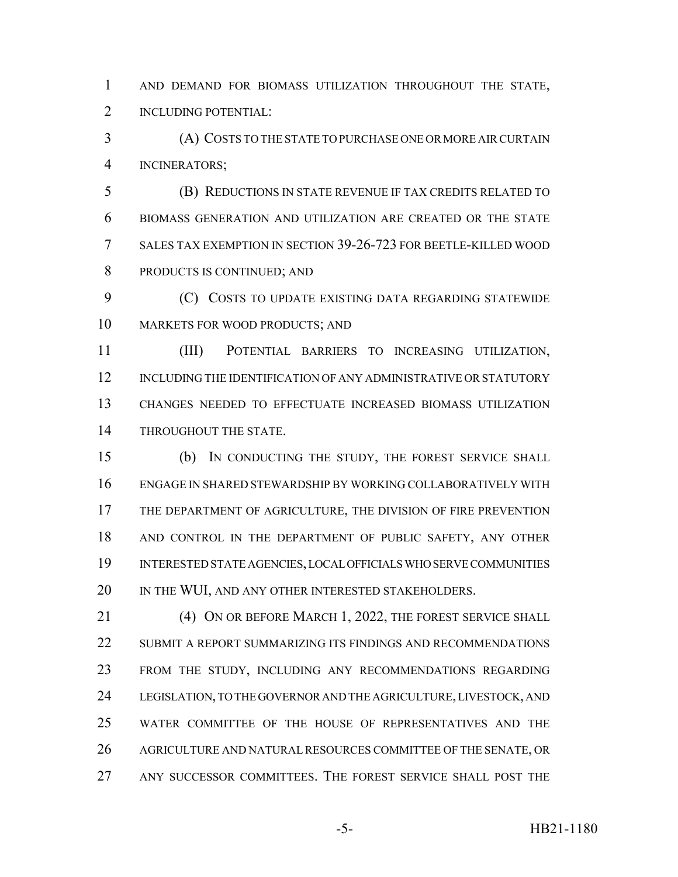AND DEMAND FOR BIOMASS UTILIZATION THROUGHOUT THE STATE, 2 INCLUDING POTENTIAL:

 (A) COSTS TO THE STATE TO PURCHASE ONE OR MORE AIR CURTAIN INCINERATORS;

 (B) REDUCTIONS IN STATE REVENUE IF TAX CREDITS RELATED TO BIOMASS GENERATION AND UTILIZATION ARE CREATED OR THE STATE SALES TAX EXEMPTION IN SECTION 39-26-723 FOR BEETLE-KILLED WOOD PRODUCTS IS CONTINUED; AND

 (C) COSTS TO UPDATE EXISTING DATA REGARDING STATEWIDE MARKETS FOR WOOD PRODUCTS; AND

 (III) POTENTIAL BARRIERS TO INCREASING UTILIZATION, INCLUDING THE IDENTIFICATION OF ANY ADMINISTRATIVE OR STATUTORY CHANGES NEEDED TO EFFECTUATE INCREASED BIOMASS UTILIZATION THROUGHOUT THE STATE.

 (b) IN CONDUCTING THE STUDY, THE FOREST SERVICE SHALL ENGAGE IN SHARED STEWARDSHIP BY WORKING COLLABORATIVELY WITH THE DEPARTMENT OF AGRICULTURE, THE DIVISION OF FIRE PREVENTION 18 AND CONTROL IN THE DEPARTMENT OF PUBLIC SAFETY, ANY OTHER INTERESTED STATE AGENCIES, LOCAL OFFICIALS WHO SERVE COMMUNITIES IN THE WUI, AND ANY OTHER INTERESTED STAKEHOLDERS.

21 (4) ON OR BEFORE MARCH 1, 2022, THE FOREST SERVICE SHALL SUBMIT A REPORT SUMMARIZING ITS FINDINGS AND RECOMMENDATIONS FROM THE STUDY, INCLUDING ANY RECOMMENDATIONS REGARDING LEGISLATION, TO THE GOVERNOR AND THE AGRICULTURE, LIVESTOCK, AND WATER COMMITTEE OF THE HOUSE OF REPRESENTATIVES AND THE AGRICULTURE AND NATURAL RESOURCES COMMITTEE OF THE SENATE, OR ANY SUCCESSOR COMMITTEES. THE FOREST SERVICE SHALL POST THE